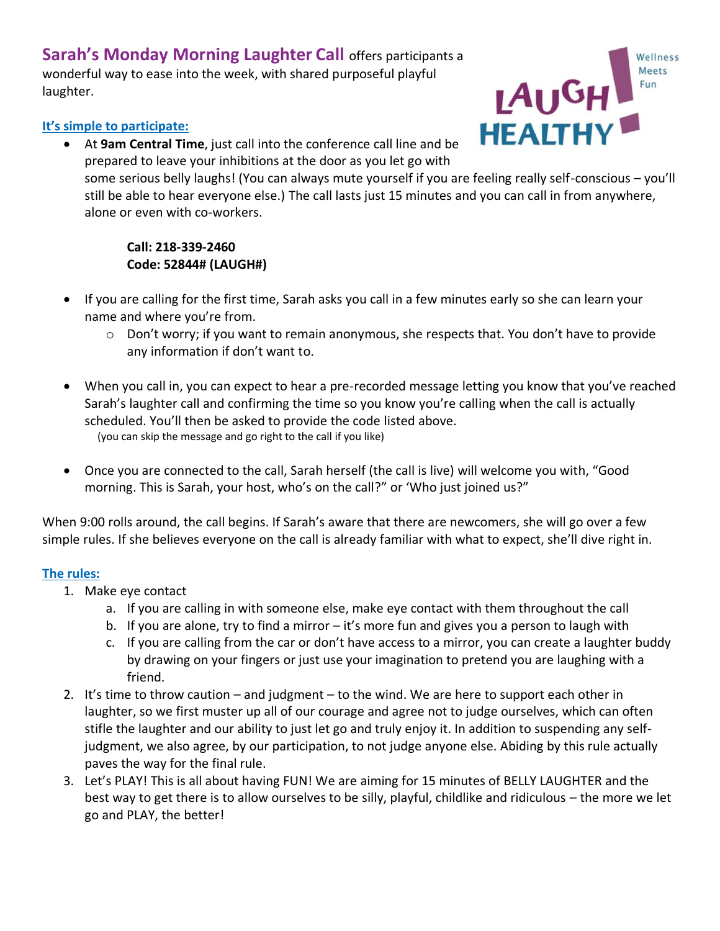**Sarah's Monday Morning Laughter Call** offers participants a wonderful way to ease into the week, with shared purposeful playful laughter.

## **It's simple to participate:**

• At **9am Central Time**, just call into the conference call line and be prepared to leave your inhibitions at the door as you let go with



some serious belly laughs! (You can always mute yourself if you are feeling really self-conscious – you'll still be able to hear everyone else.) The call lasts just 15 minutes and you can call in from anywhere, alone or even with co-workers.

## **Call: 218-339-2460 Code: 52844# (LAUGH#)**

- If you are calling for the first time, Sarah asks you call in a few minutes early so she can learn your name and where you're from.
	- o Don't worry; if you want to remain anonymous, she respects that. You don't have to provide any information if don't want to.
- When you call in, you can expect to hear a pre-recorded message letting you know that you've reached Sarah's laughter call and confirming the time so you know you're calling when the call is actually scheduled. You'll then be asked to provide the code listed above. (you can skip the message and go right to the call if you like)
- Once you are connected to the call, Sarah herself (the call is live) will welcome you with, "Good morning. This is Sarah, your host, who's on the call?" or 'Who just joined us?"

When 9:00 rolls around, the call begins. If Sarah's aware that there are newcomers, she will go over a few simple rules. If she believes everyone on the call is already familiar with what to expect, she'll dive right in.

## **The rules:**

- 1. Make eye contact
	- a. If you are calling in with someone else, make eye contact with them throughout the call
	- b. If you are alone, try to find a mirror it's more fun and gives you a person to laugh with
	- c. If you are calling from the car or don't have access to a mirror, you can create a laughter buddy by drawing on your fingers or just use your imagination to pretend you are laughing with a friend.
- 2. It's time to throw caution and judgment to the wind. We are here to support each other in laughter, so we first muster up all of our courage and agree not to judge ourselves, which can often stifle the laughter and our ability to just let go and truly enjoy it. In addition to suspending any selfjudgment, we also agree, by our participation, to not judge anyone else. Abiding by this rule actually paves the way for the final rule.
- 3. Let's PLAY! This is all about having FUN! We are aiming for 15 minutes of BELLY LAUGHTER and the best way to get there is to allow ourselves to be silly, playful, childlike and ridiculous – the more we let go and PLAY, the better!